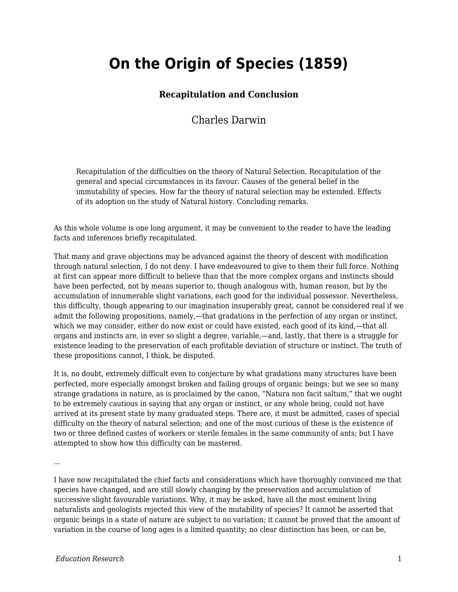## **On the Origin of Species (1859)**

## **Recapitulation and Conclusion**

## Charles Darwin

Recapitulation of the difficulties on the theory of Natural Selection. Recapitulation of the general and special circumstances in its favour. Causes of the general belief in the immutability of species. How far the theory of natural selection may be extended. Effects of its adoption on the study of Natural history. Concluding remarks.

As this whole volume is one long argument, it may be convenient to the reader to have the leading facts and inferences briefly recapitulated.

That many and grave objections may be advanced against the theory of descent with modification through natural selection, I do not deny. I have endeavoured to give to them their full force. Nothing at first can appear more difficult to believe than that the more complex organs and instincts should have been perfected, not by means superior to, though analogous with, human reason, but by the accumulation of innumerable slight variations, each good for the individual possessor. Nevertheless, this difficulty, though appearing to our imagination insuperably great, cannot be considered real if we admit the following propositions, namely,—that gradations in the perfection of any organ or instinct, which we may consider, either do now exist or could have existed, each good of its kind,—that all organs and instincts are, in ever so slight a degree, variable,—and, lastly, that there is a struggle for existence leading to the preservation of each profitable deviation of structure or instinct. The truth of these propositions cannot, I think, be disputed.

It is, no doubt, extremely difficult even to conjecture by what gradations many structures have been perfected, more especially amongst broken and failing groups of organic beings; but we see so many strange gradations in nature, as is proclaimed by the canon, "Natura non facit saltum," that we ought to be extremely cautious in saying that any organ or instinct, or any whole being, could not have arrived at its present state by many graduated steps. There are, it must be admitted, cases of special difficulty on the theory of natural selection; and one of the most curious of these is the existence of two or three defined castes of workers or sterile females in the same community of ants; but I have attempted to show how this difficulty can be mastered.

...

I have now recapitulated the chief facts and considerations which have thoroughly convinced me that species have changed, and are still slowly changing by the preservation and accumulation of successive slight favourable variations. Why, it may be asked, have all the most eminent living naturalists and geologists rejected this view of the mutability of species? It cannot be asserted that organic beings in a state of nature are subject to no variation; it cannot be proved that the amount of variation in the course of long ages is a limited quantity; no clear distinction has been, or can be,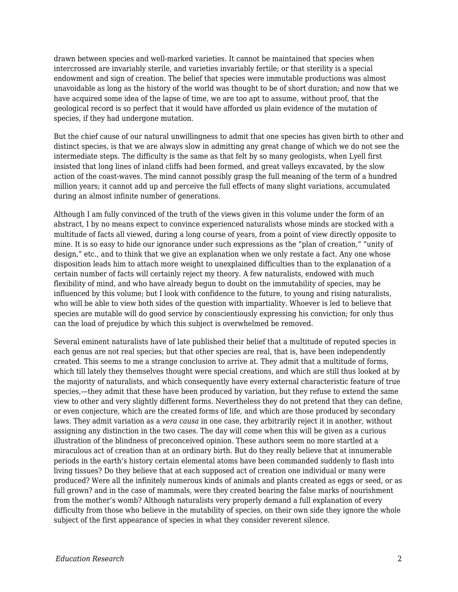drawn between species and well-marked varieties. It cannot be maintained that species when intercrossed are invariably sterile, and varieties invariably fertile; or that sterility is a special endowment and sign of creation. The belief that species were immutable productions was almost unavoidable as long as the history of the world was thought to be of short duration; and now that we have acquired some idea of the lapse of time, we are too apt to assume, without proof, that the geological record is so perfect that it would have afforded us plain evidence of the mutation of species, if they had undergone mutation.

But the chief cause of our natural unwillingness to admit that one species has given birth to other and distinct species, is that we are always slow in admitting any great change of which we do not see the intermediate steps. The difficulty is the same as that felt by so many geologists, when Lyell first insisted that long lines of inland cliffs had been formed, and great valleys excavated, by the slow action of the coast-waves. The mind cannot possibly grasp the full meaning of the term of a hundred million years; it cannot add up and perceive the full effects of many slight variations, accumulated during an almost infinite number of generations.

Although I am fully convinced of the truth of the views given in this volume under the form of an abstract, I by no means expect to convince experienced naturalists whose minds are stocked with a multitude of facts all viewed, during a long course of years, from a point of view directly opposite to mine. It is so easy to hide our ignorance under such expressions as the "plan of creation," "unity of design," etc., and to think that we give an explanation when we only restate a fact. Any one whose disposition leads him to attach more weight to unexplained difficulties than to the explanation of a certain number of facts will certainly reject my theory. A few naturalists, endowed with much flexibility of mind, and who have already begun to doubt on the immutability of species, may be influenced by this volume; but I look with confidence to the future, to young and rising naturalists, who will be able to view both sides of the question with impartiality. Whoever is led to believe that species are mutable will do good service by conscientiously expressing his conviction; for only thus can the load of prejudice by which this subject is overwhelmed be removed.

Several eminent naturalists have of late published their belief that a multitude of reputed species in each genus are not real species; but that other species are real, that is, have been independently created. This seems to me a strange conclusion to arrive at. They admit that a multitude of forms, which till lately they themselves thought were special creations, and which are still thus looked at by the majority of naturalists, and which consequently have every external characteristic feature of true species,—they admit that these have been produced by variation, but they refuse to extend the same view to other and very slightly different forms. Nevertheless they do not pretend that they can define, or even conjecture, which are the created forms of life, and which are those produced by secondary laws. They admit variation as a *vera causa* in one case, they arbitrarily reject it in another, without assigning any distinction in the two cases. The day will come when this will be given as a curious illustration of the blindness of preconceived opinion. These authors seem no more startled at a miraculous act of creation than at an ordinary birth. But do they really believe that at innumerable periods in the earth's history certain elemental atoms have been commanded suddenly to flash into living tissues? Do they believe that at each supposed act of creation one individual or many were produced? Were all the infinitely numerous kinds of animals and plants created as eggs or seed, or as full grown? and in the case of mammals, were they created bearing the false marks of nourishment from the mother's womb? Although naturalists very properly demand a full explanation of every difficulty from those who believe in the mutability of species, on their own side they ignore the whole subject of the first appearance of species in what they consider reverent silence.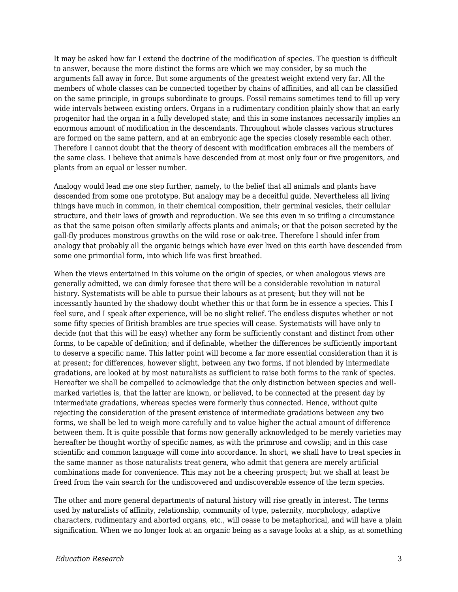It may be asked how far I extend the doctrine of the modification of species. The question is difficult to answer, because the more distinct the forms are which we may consider, by so much the arguments fall away in force. But some arguments of the greatest weight extend very far. All the members of whole classes can be connected together by chains of affinities, and all can be classified on the same principle, in groups subordinate to groups. Fossil remains sometimes tend to fill up very wide intervals between existing orders. Organs in a rudimentary condition plainly show that an early progenitor had the organ in a fully developed state; and this in some instances necessarily implies an enormous amount of modification in the descendants. Throughout whole classes various structures are formed on the same pattern, and at an embryonic age the species closely resemble each other. Therefore I cannot doubt that the theory of descent with modification embraces all the members of the same class. I believe that animals have descended from at most only four or five progenitors, and plants from an equal or lesser number.

Analogy would lead me one step further, namely, to the belief that all animals and plants have descended from some one prototype. But analogy may be a deceitful guide. Nevertheless all living things have much in common, in their chemical composition, their germinal vesicles, their cellular structure, and their laws of growth and reproduction. We see this even in so trifling a circumstance as that the same poison often similarly affects plants and animals; or that the poison secreted by the gall-fly produces monstrous growths on the wild rose or oak-tree. Therefore I should infer from analogy that probably all the organic beings which have ever lived on this earth have descended from some one primordial form, into which life was first breathed.

When the views entertained in this volume on the origin of species, or when analogous views are generally admitted, we can dimly foresee that there will be a considerable revolution in natural history. Systematists will be able to pursue their labours as at present; but they will not be incessantly haunted by the shadowy doubt whether this or that form be in essence a species. This I feel sure, and I speak after experience, will be no slight relief. The endless disputes whether or not some fifty species of British brambles are true species will cease. Systematists will have only to decide (not that this will be easy) whether any form be sufficiently constant and distinct from other forms, to be capable of definition; and if definable, whether the differences be sufficiently important to deserve a specific name. This latter point will become a far more essential consideration than it is at present; for differences, however slight, between any two forms, if not blended by intermediate gradations, are looked at by most naturalists as sufficient to raise both forms to the rank of species. Hereafter we shall be compelled to acknowledge that the only distinction between species and wellmarked varieties is, that the latter are known, or believed, to be connected at the present day by intermediate gradations, whereas species were formerly thus connected. Hence, without quite rejecting the consideration of the present existence of intermediate gradations between any two forms, we shall be led to weigh more carefully and to value higher the actual amount of difference between them. It is quite possible that forms now generally acknowledged to be merely varieties may hereafter be thought worthy of specific names, as with the primrose and cowslip; and in this case scientific and common language will come into accordance. In short, we shall have to treat species in the same manner as those naturalists treat genera, who admit that genera are merely artificial combinations made for convenience. This may not be a cheering prospect; but we shall at least be freed from the vain search for the undiscovered and undiscoverable essence of the term species.

The other and more general departments of natural history will rise greatly in interest. The terms used by naturalists of affinity, relationship, community of type, paternity, morphology, adaptive characters, rudimentary and aborted organs, etc., will cease to be metaphorical, and will have a plain signification. When we no longer look at an organic being as a savage looks at a ship, as at something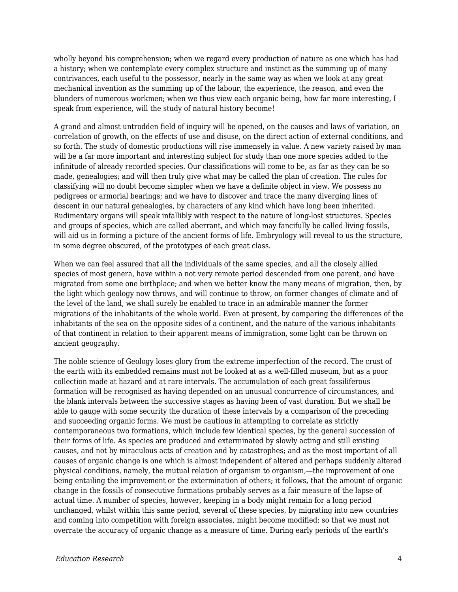wholly beyond his comprehension; when we regard every production of nature as one which has had a history; when we contemplate every complex structure and instinct as the summing up of many contrivances, each useful to the possessor, nearly in the same way as when we look at any great mechanical invention as the summing up of the labour, the experience, the reason, and even the blunders of numerous workmen; when we thus view each organic being, how far more interesting, I speak from experience, will the study of natural history become!

A grand and almost untrodden field of inquiry will be opened, on the causes and laws of variation, on correlation of growth, on the effects of use and disuse, on the direct action of external conditions, and so forth. The study of domestic productions will rise immensely in value. A new variety raised by man will be a far more important and interesting subject for study than one more species added to the infinitude of already recorded species. Our classifications will come to be, as far as they can be so made, genealogies; and will then truly give what may be called the plan of creation. The rules for classifying will no doubt become simpler when we have a definite object in view. We possess no pedigrees or armorial bearings; and we have to discover and trace the many diverging lines of descent in our natural genealogies, by characters of any kind which have long been inherited. Rudimentary organs will speak infallibly with respect to the nature of long-lost structures. Species and groups of species, which are called aberrant, and which may fancifully be called living fossils, will aid us in forming a picture of the ancient forms of life. Embryology will reveal to us the structure, in some degree obscured, of the prototypes of each great class.

When we can feel assured that all the individuals of the same species, and all the closely allied species of most genera, have within a not very remote period descended from one parent, and have migrated from some one birthplace; and when we better know the many means of migration, then, by the light which geology now throws, and will continue to throw, on former changes of climate and of the level of the land, we shall surely be enabled to trace in an admirable manner the former migrations of the inhabitants of the whole world. Even at present, by comparing the differences of the inhabitants of the sea on the opposite sides of a continent, and the nature of the various inhabitants of that continent in relation to their apparent means of immigration, some light can be thrown on ancient geography.

The noble science of Geology loses glory from the extreme imperfection of the record. The crust of the earth with its embedded remains must not be looked at as a well-filled museum, but as a poor collection made at hazard and at rare intervals. The accumulation of each great fossiliferous formation will be recognised as having depended on an unusual concurrence of circumstances, and the blank intervals between the successive stages as having been of vast duration. But we shall be able to gauge with some security the duration of these intervals by a comparison of the preceding and succeeding organic forms. We must be cautious in attempting to correlate as strictly contemporaneous two formations, which include few identical species, by the general succession of their forms of life. As species are produced and exterminated by slowly acting and still existing causes, and not by miraculous acts of creation and by catastrophes; and as the most important of all causes of organic change is one which is almost independent of altered and perhaps suddenly altered physical conditions, namely, the mutual relation of organism to organism,—the improvement of one being entailing the improvement or the extermination of others; it follows, that the amount of organic change in the fossils of consecutive formations probably serves as a fair measure of the lapse of actual time. A number of species, however, keeping in a body might remain for a long period unchanged, whilst within this same period, several of these species, by migrating into new countries and coming into competition with foreign associates, might become modified; so that we must not overrate the accuracy of organic change as a measure of time. During early periods of the earth's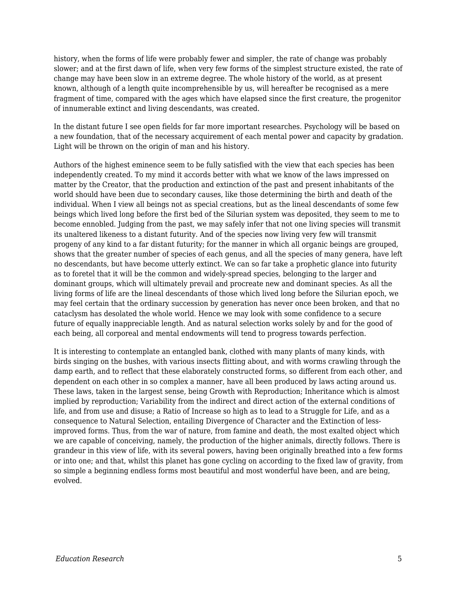history, when the forms of life were probably fewer and simpler, the rate of change was probably slower; and at the first dawn of life, when very few forms of the simplest structure existed, the rate of change may have been slow in an extreme degree. The whole history of the world, as at present known, although of a length quite incomprehensible by us, will hereafter be recognised as a mere fragment of time, compared with the ages which have elapsed since the first creature, the progenitor of innumerable extinct and living descendants, was created.

In the distant future I see open fields for far more important researches. Psychology will be based on a new foundation, that of the necessary acquirement of each mental power and capacity by gradation. Light will be thrown on the origin of man and his history.

Authors of the highest eminence seem to be fully satisfied with the view that each species has been independently created. To my mind it accords better with what we know of the laws impressed on matter by the Creator, that the production and extinction of the past and present inhabitants of the world should have been due to secondary causes, like those determining the birth and death of the individual. When I view all beings not as special creations, but as the lineal descendants of some few beings which lived long before the first bed of the Silurian system was deposited, they seem to me to become ennobled. Judging from the past, we may safely infer that not one living species will transmit its unaltered likeness to a distant futurity. And of the species now living very few will transmit progeny of any kind to a far distant futurity; for the manner in which all organic beings are grouped, shows that the greater number of species of each genus, and all the species of many genera, have left no descendants, but have become utterly extinct. We can so far take a prophetic glance into futurity as to foretel that it will be the common and widely-spread species, belonging to the larger and dominant groups, which will ultimately prevail and procreate new and dominant species. As all the living forms of life are the lineal descendants of those which lived long before the Silurian epoch, we may feel certain that the ordinary succession by generation has never once been broken, and that no cataclysm has desolated the whole world. Hence we may look with some confidence to a secure future of equally inappreciable length. And as natural selection works solely by and for the good of each being, all corporeal and mental endowments will tend to progress towards perfection.

It is interesting to contemplate an entangled bank, clothed with many plants of many kinds, with birds singing on the bushes, with various insects flitting about, and with worms crawling through the damp earth, and to reflect that these elaborately constructed forms, so different from each other, and dependent on each other in so complex a manner, have all been produced by laws acting around us. These laws, taken in the largest sense, being Growth with Reproduction; Inheritance which is almost implied by reproduction; Variability from the indirect and direct action of the external conditions of life, and from use and disuse; a Ratio of Increase so high as to lead to a Struggle for Life, and as a consequence to Natural Selection, entailing Divergence of Character and the Extinction of lessimproved forms. Thus, from the war of nature, from famine and death, the most exalted object which we are capable of conceiving, namely, the production of the higher animals, directly follows. There is grandeur in this view of life, with its several powers, having been originally breathed into a few forms or into one; and that, whilst this planet has gone cycling on according to the fixed law of gravity, from so simple a beginning endless forms most beautiful and most wonderful have been, and are being, evolved.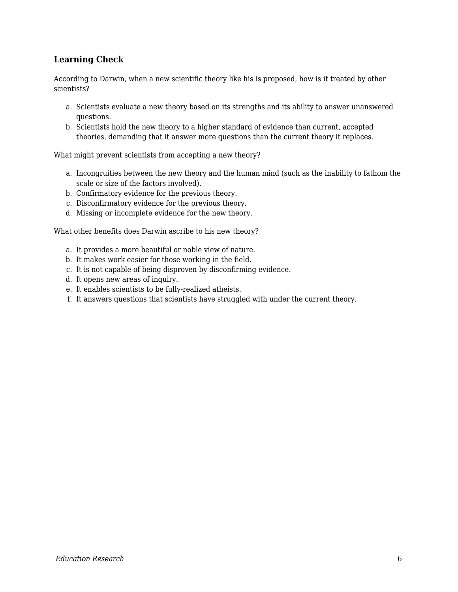## **Learning Check**

According to Darwin, when a new scientific theory like his is proposed, how is it treated by other scientists?

- a. Scientists evaluate a new theory based on its strengths and its ability to answer unanswered questions.
- b. Scientists hold the new theory to a higher standard of evidence than current, accepted theories, demanding that it answer more questions than the current theory it replaces.

What might prevent scientists from accepting a new theory?

- a. Incongruities between the new theory and the human mind (such as the inability to fathom the scale or size of the factors involved).
- b. Confirmatory evidence for the previous theory.
- c. Disconfirmatory evidence for the previous theory.
- d. Missing or incomplete evidence for the new theory.

What other benefits does Darwin ascribe to his new theory?

- a. It provides a more beautiful or noble view of nature.
- b. It makes work easier for those working in the field.
- c. It is not capable of being disproven by disconfirming evidence.
- d. It opens new areas of inquiry.
- e. It enables scientists to be fully-realized atheists.
- f. It answers questions that scientists have struggled with under the current theory.